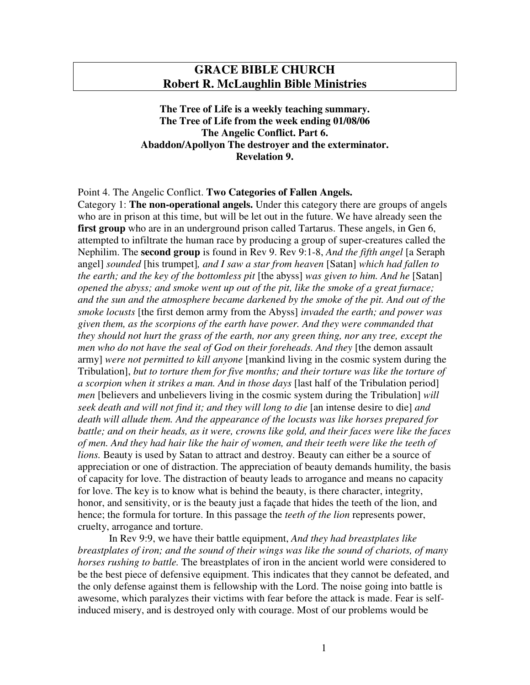## **GRACE BIBLE CHURCH Robert R. McLaughlin Bible Ministries**

**The Tree of Life is a weekly teaching summary. The Tree of Life from the week ending 01/08/06 The Angelic Conflict. Part 6. Abaddon/Apollyon The destroyer and the exterminator. Revelation 9.**

## Point 4. The Angelic Conflict. **Two Categories of Fallen Angels.**

Category 1: **The non-operational angels.** Under this category there are groups of angels who are in prison at this time, but will be let out in the future. We have already seen the first group who are in an underground prison called Tartarus. These angels, in Gen 6, attempted to infiltrate the human race by producing a group of super-creatures called the Nephilim. The **second group** is found in Rev 9. Rev 9:1-8, *And the fifth angel* [a Seraph angel] *sounded* [his trumpet]*, and I saw a star from heaven* [Satan] *which had fallen to the earth; and the key of the bottomless pit* [the abyss] *was given to him. And he* [Satan] *opened the abyss; and smoke went up out of the pit, like the smoke of a great furnace; and the sun and the atmosphere became darkened by the smoke of the pit. And out of the smoke locusts* [the first demon army from the Abyss] *invaded the earth; and power was given them, as the scorpions of the earth have power. And they were commanded that they should not hurt the grass of the earth, nor any green thing, nor any tree, except the men who do not have the seal of God on their foreheads. And they* [the demon assault army] *were not permitted to kill anyone* [mankind living in the cosmic system during the Tribulation], *but to torture them for five months; and their torture was like the torture of a scorpion when it strikes a man. And in those days* [last half of the Tribulation period] *men* [believers and unbelievers living in the cosmic system during the Tribulation] *will seek death and will not find it; and they will long to die* [an intense desire to die] *and death will allude them. And the appearance of the locusts was like horses prepared for battle; and on their heads, as it were, crowns like gold, and their faces were like the faces of men. And they had hair like the hair of women, and their teeth were like the teeth of lions.* Beauty is used by Satan to attract and destroy. Beauty can either be a source of appreciation or one of distraction. The appreciation of beauty demands humility, the basis of capacity for love. The distraction of beauty leads to arrogance and means no capacity for love. The key is to know what is behind the beauty, is there character, integrity, honor, and sensitivity, or is the beauty just a façade that hides the teeth of the lion, and hence; the formula for torture. In this passage the *teeth of the lion* represents power, cruelty, arrogance and torture.

In Rev 9:9, we have their battle equipment, *And they had breastplates like breastplates of iron; and the sound of their wings was like the sound of chariots, of many horses rushing to battle.* The breastplates of iron in the ancient world were considered to be the best piece of defensive equipment. This indicates that they cannot be defeated, and the only defense against them is fellowship with the Lord. The noise going into battle is awesome, which paralyzes their victims with fear before the attack is made. Fear is selfinduced misery, and is destroyed only with courage. Most of our problems would be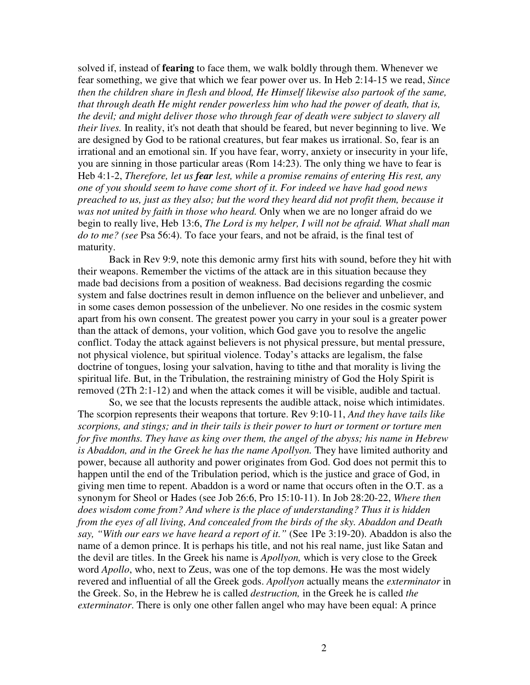solved if, instead of **fearing** to face them, we walk boldly through them. Whenever we fear something, we give that which we fear power over us. In Heb 2:14-15 we read, *Since then the children share in flesh and blood, He Himself likewise also partook of the same, that through death He might render powerless him who had the power of death, that is, the devil; and might deliver those who through fear of death were subject to slavery all their lives.* In reality, it's not death that should be feared, but never beginning to live. We are designed by God to be rational creatures, but fear makes us irrational. So, fear is an irrational and an emotional sin. If you have fear, worry, anxiety or insecurity in your life, you are sinning in those particular areas (Rom 14:23). The only thing we have to fear is Heb 4:1-2, *Therefore, let us fear lest, while a promise remains of entering His rest, any one of you should seem to have come short of it. For indeed we have had good news preached to us, just as they also; but the word they heard did not profit them, because it was not united by faith in those who heard.* Only when we are no longer afraid do we begin to really live, Heb 13:6, *The Lord is my helper, I will not be afraid. What shall man do to me? (see* Psa 56:4). To face your fears, and not be afraid, is the final test of maturity.

Back in Rev 9:9, note this demonic army first hits with sound, before they hit with their weapons. Remember the victims of the attack are in this situation because they made bad decisions from a position of weakness. Bad decisions regarding the cosmic system and false doctrines result in demon influence on the believer and unbeliever, and in some cases demon possession of the unbeliever. No one resides in the cosmic system apart from his own consent. The greatest power you carry in your soul is a greater power than the attack of demons, your volition, which God gave you to resolve the angelic conflict. Today the attack against believers is not physical pressure, but mental pressure, not physical violence, but spiritual violence. Today's attacks are legalism, the false doctrine of tongues, losing your salvation, having to tithe and that morality is living the spiritual life. But, in the Tribulation, the restraining ministry of God the Holy Spirit is removed (2Th 2:1-12) and when the attack comes it will be visible, audible and tactual.

So, we see that the locusts represents the audible attack, noise which intimidates. The scorpion represents their weapons that torture. Rev 9:10-11, *And they have tails like scorpions, and stings; and in their tails is their power to hurt or torment or torture men for five months. They have as king over them, the angel of the abyss; his name in Hebrew is Abaddon, and in the Greek he has the name Apollyon.* They have limited authority and power, because all authority and power originates from God. God does not permit this to happen until the end of the Tribulation period, which is the justice and grace of God, in giving men time to repent. Abaddon is a word or name that occurs often in the O.T. as a synonym for Sheol or Hades (see Job 26:6, Pro 15:10-11). In Job 28:20-22, *Where then does wisdom come from? And where is the place of understanding? Thus it is hidden from the eyes of all living, And concealed from the birds of the sky. Abaddon and Death say, "With our ears we have heard a report of it."* (See 1Pe 3:19-20). Abaddon is also the name of a demon prince. It is perhaps his title, and not his real name, just like Satan and the devil are titles. In the Greek his name is *Apollyon,* which is very close to the Greek word *Apollo*, who, next to Zeus, was one of the top demons. He was the most widely revered and influential of all the Greek gods. *Apollyon* actually means the *exterminator* in the Greek. So, in the Hebrew he is called *destruction,* in the Greek he is called *the exterminator*. There is only one other fallen angel who may have been equal: A prince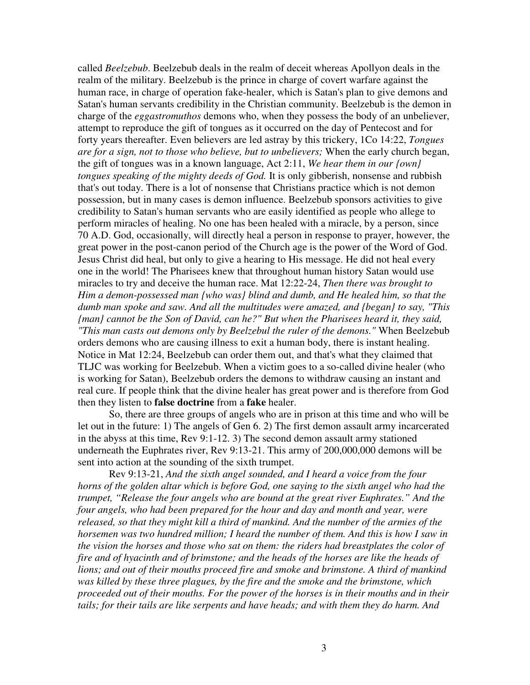called *Beelzebub*. Beelzebub deals in the realm of deceit whereas Apollyon deals in the realm of the military. Beelzebub is the prince in charge of covert warfare against the human race, in charge of operation fake-healer, which is Satan's plan to give demons and Satan's human servants credibility in the Christian community. Beelzebub is the demon in charge of the *eggastromuthos* demons who, when they possess the body of an unbeliever, attempt to reproduce the gift of tongues as it occurred on the day of Pentecost and for forty years thereafter. Even believers are led astray by this trickery, 1Co 14:22, *Tongues are for a sign, not to those who believe, but to unbelievers;* When the early church began, the gift of tongues was in a known language, Act 2:11, *We hear them in our {own} tongues speaking of the mighty deeds of God.* It is only gibberish, nonsense and rubbish that's out today. There is a lot of nonsense that Christians practice which is not demon possession, but in many cases is demon influence. Beelzebub sponsors activities to give credibility to Satan's human servants who are easily identified as people who allege to perform miracles of healing. No one has been healed with a miracle, by a person, since 70 A.D. God, occasionally, will directly heal a person in response to prayer, however, the great power in the post-canon period of the Church age is the power of the Word of God. Jesus Christ did heal, but only to give a hearing to His message. He did not heal every one in the world! The Pharisees knew that throughout human history Satan would use miracles to try and deceive the human race. Mat 12:22-24, *Then there was brought to Him a demon-possessed man {who was} blind and dumb, and He healed him, so that the dumb man spoke and saw. And all the multitudes were amazed, and {began} to say, "This {man} cannot be the Son of David, can he?" But when the Pharisees heard it, they said, "This man casts out demons only by Beelzebul the ruler of the demons."* When Beelzebub orders demons who are causing illness to exit a human body, there is instant healing. Notice in Mat 12:24, Beelzebub can order them out, and that's what they claimed that TLJC was working for Beelzebub. When a victim goes to a so-called divine healer (who is working for Satan), Beelzebub orders the demons to withdraw causing an instant and real cure. If people think that the divine healer has great power and is therefore from God then they listen to **false doctrine** from a **fake** healer.

So, there are three groups of angels who are in prison at this time and who will be let out in the future: 1) The angels of Gen 6. 2) The first demon assault army incarcerated in the abyss at this time, Rev 9:1-12. 3) The second demon assault army stationed underneath the Euphrates river, Rev 9:13-21. This army of 200,000,000 demons will be sent into action at the sounding of the sixth trumpet.

Rev 9:13-21, *And the sixth angel sounded, and I heard a voice from the four horns of the golden altar which is before God, one saying to the sixth angel who had the trumpet, "Release the four angels who are bound at the great river Euphrates." And the four angels, who had been prepared for the hour and day and month and year, were released, so that they might kill a third of mankind. And the number of the armies of the horsemen was two hundred million; I heard the number of them. And this is how I saw in the vision the horses and those who sat on them: the riders had breastplates the color of fire and of hyacinth and of brimstone; and the heads of the horses are like the heads of lions; and out of their mouths proceed fire and smoke and brimstone. A third of mankind was killed by these three plagues, by the fire and the smoke and the brimstone, which proceeded out of their mouths. For the power of the horses is in their mouths and in their tails; for their tails are like serpents and have heads; and with them they do harm. And*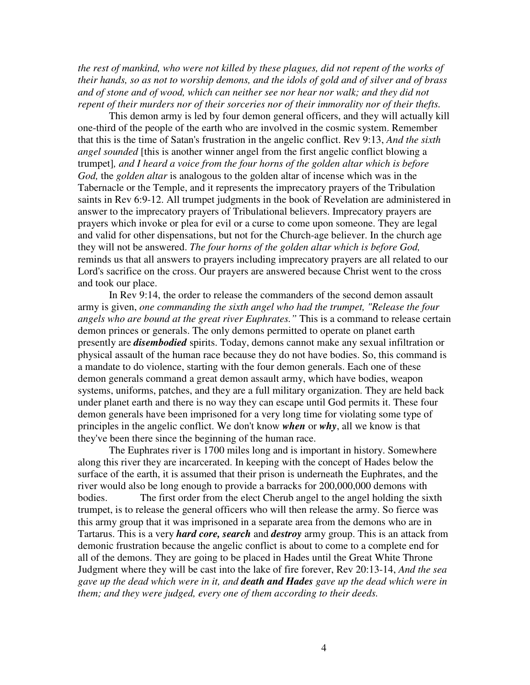*the rest of mankind, who were not killed by these plagues, did not repent of the works of their hands, so as not to worship demons, and the idols of gold and of silver and of brass and of stone and of wood, which can neither see nor hear nor walk; and they did not repent of their murders nor of their sorceries nor of their immorality nor of their thefts.*

This demon army is led by four demon general officers, and they will actually kill one-third of the people of the earth who are involved in the cosmic system. Remember that this is the time of Satan's frustration in the angelic conflict. Rev 9:13, *And the sixth angel sounded* [this is another winner angel from the first angelic conflict blowing a trumpet]*, and I heard a voice from the four horns of the golden altar which is before God,* the *golden altar* is analogous to the golden altar of incense which was in the Tabernacle or the Temple, and it represents the imprecatory prayers of the Tribulation saints in Rev 6:9-12. All trumpet judgments in the book of Revelation are administered in answer to the imprecatory prayers of Tribulational believers. Imprecatory prayers are prayers which invoke or plea for evil or a curse to come upon someone. They are legal and valid for other dispensations, but not for the Church-age believer. In the church age they will not be answered. *The four horns of the golden altar which is before God,* reminds us that all answers to prayers including imprecatory prayers are all related to our Lord's sacrifice on the cross. Our prayers are answered because Christ went to the cross and took our place.

In Rev 9:14, the order to release the commanders of the second demon assault army is given, *one commanding the sixth angel who had the trumpet, "Release the four angels who are bound at the great river Euphrates."* This is a command to release certain demon princes or generals. The only demons permitted to operate on planet earth presently are *disembodied* spirits. Today, demons cannot make any sexual infiltration or physical assault of the human race because they do not have bodies. So, this command is a mandate to do violence, starting with the four demon generals. Each one of these demon generals command a great demon assault army, which have bodies, weapon systems, uniforms, patches, and they are a full military organization. They are held back under planet earth and there is no way they can escape until God permits it. These four demon generals have been imprisoned for a very long time for violating some type of principles in the angelic conflict. We don't know *when* or *why*, all we know is that they've been there since the beginning of the human race.

The Euphrates river is 1700 miles long and is important in history. Somewhere along this river they are incarcerated. In keeping with the concept of Hades below the surface of the earth, it is assumed that their prison is underneath the Euphrates, and the river would also be long enough to provide a barracks for 200,000,000 demons with bodies. The first order from the elect Cherub angel to the angel holding the sixth trumpet, is to release the general officers who will then release the army. So fierce was this army group that it was imprisoned in a separate area from the demons who are in Tartarus. This is a very *hard core, search* and *destroy* army group. This is an attack from demonic frustration because the angelic conflict is about to come to a complete end for all of the demons. They are going to be placed in Hades until the Great White Throne Judgment where they will be cast into the lake of fire forever, Rev 20:13-14, *And the sea gave up the dead which were in it, and death and Hades gave up the dead which were in them; and they were judged, every one of them according to their deeds.*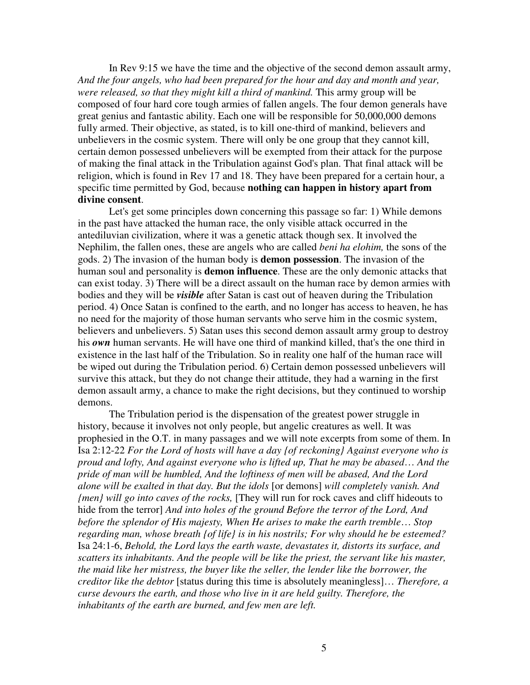In Rev 9:15 we have the time and the objective of the second demon assault army, *And the four angels, who had been prepared for the hour and day and month and year, were released, so that they might kill a third of mankind.* This army group will be composed of four hard core tough armies of fallen angels. The four demon generals have great genius and fantastic ability. Each one will be responsible for 50,000,000 demons fully armed. Their objective, as stated, is to kill one-third of mankind, believers and unbelievers in the cosmic system. There will only be one group that they cannot kill, certain demon possessed unbelievers will be exempted from their attack for the purpose of making the final attack in the Tribulation against God's plan. That final attack will be religion, which is found in Rev 17 and 18. They have been prepared for a certain hour, a specific time permitted by God, because **nothing can happen in history apart from divine consent**.

Let's get some principles down concerning this passage so far: 1) While demons in the past have attacked the human race, the only visible attack occurred in the antediluvian civilization, where it was a genetic attack though sex. It involved the Nephilim, the fallen ones, these are angels who are called *beni ha elohim,* the sons of the gods. 2) The invasion of the human body is **demon possession**. The invasion of the human soul and personality is **demon influence**. These are the only demonic attacks that can exist today. 3) There will be a direct assault on the human race by demon armies with bodies and they will be *visible* after Satan is cast out of heaven during the Tribulation period. 4) Once Satan is confined to the earth, and no longer has access to heaven, he has no need for the majority of those human servants who serve him in the cosmic system, believers and unbelievers. 5) Satan uses this second demon assault army group to destroy his *own* human servants. He will have one third of mankind killed, that's the one third in existence in the last half of the Tribulation. So in reality one half of the human race will be wiped out during the Tribulation period. 6) Certain demon possessed unbelievers will survive this attack, but they do not change their attitude, they had a warning in the first demon assault army, a chance to make the right decisions, but they continued to worship demons.

The Tribulation period is the dispensation of the greatest power struggle in history, because it involves not only people, but angelic creatures as well. It was prophesied in the O.T. in many passages and we will note excerpts from some of them. In Isa 2:12-22 *For the Lord of hosts will have a day {of reckoning} Against everyone who is proud and lofty, And against everyone who is lifted up, That he may be abased*… *And the pride of man will be humbled, And the loftiness of men will be abased, And the Lord alone will be exalted in that day. But the idols* [or demons] *will completely vanish. And {men} will go into caves of the rocks,* [They will run for rock caves and cliff hideouts to hide from the terror] *And into holes of the ground Before the terror of the Lord, And before the splendor of His majesty, When He arises to make the earth tremble*… *Stop regarding man, whose breath {of life} is in his nostrils; For why should he be esteemed?* Isa 24:1-6, *Behold, the Lord lays the earth waste, devastates it, distorts its surface, and scatters its inhabitants. And the people will be like the priest, the servant like his master, the maid like her mistress, the buyer like the seller, the lender like the borrower, the creditor like the debtor* [status during this time is absolutely meaningless]… *Therefore, a curse devours the earth, and those who live in it are held guilty. Therefore, the inhabitants of the earth are burned, and few men are left.*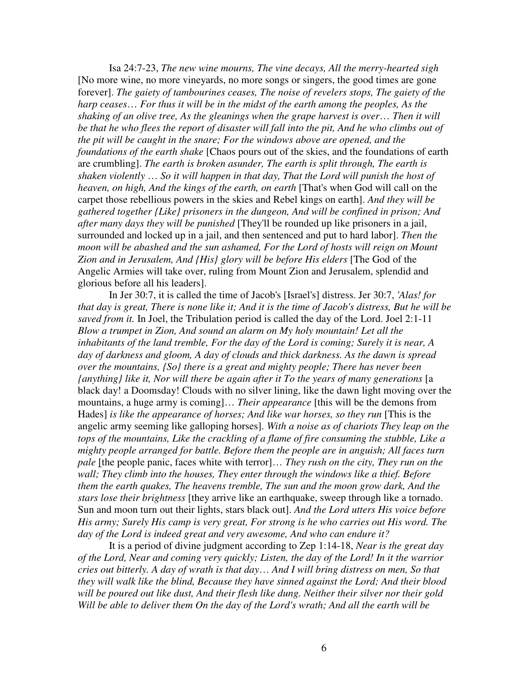Isa 24:7-23, *The new wine mourns, The vine decays, All the merry-hearted sigh* [No more wine, no more vineyards, no more songs or singers, the good times are gone forever]. *The gaiety of tambourines ceases, The noise of revelers stops, The gaiety of the harp ceases*… *For thus it will be in the midst of the earth among the peoples, As the shaking of an olive tree, As the gleanings when the grape harvest is over*… *Then it will* be that he who flees the report of disaster will fall into the pit, And he who climbs out of *the pit will be caught in the snare; For the windows above are opened, and the foundations of the earth shake* [Chaos pours out of the skies, and the foundations of earth are crumbling]. *The earth is broken asunder, The earth is split through, The earth is shaken violently* … *So it will happen in that day, That the Lord will punish the host of heaven, on high, And the kings of the earth, on earth* [That's when God will call on the carpet those rebellious powers in the skies and Rebel kings on earth]. *And they will be gathered together {Like} prisoners in the dungeon, And will be confined in prison; And after many days they will be punished* [They'll be rounded up like prisoners in a jail, surrounded and locked up in a jail, and then sentenced and put to hard labor]. *Then the moon will be abashed and the sun ashamed, For the Lord of hosts will reign on Mount Zion and in Jerusalem, And {His} glory will be before His elders* [The God of the Angelic Armies will take over, ruling from Mount Zion and Jerusalem, splendid and glorious before all his leaders].

In Jer 30:7, it is called the time of Jacob's [Israel's] distress. Jer 30:7, *'Alas! for* that day is great, There is none like it; And it is the time of Jacob's distress, But he will be *saved from it.* In Joel, the Tribulation period is called the day of the Lord. Joel 2:1-11 *Blow a trumpet in Zion, And sound an alarm on My holy mountain! Let all the inhabitants of the land tremble, For the day of the Lord is coming; Surely it is near, A day of darkness and gloom, A day of clouds and thick darkness. As the dawn is spread over the mountains, {So} there is a great and mighty people; There has never been {anything} like it, Nor will there be again after it To the years of many generations* [a black day! a Doomsday! Clouds with no silver lining, like the dawn light moving over the mountains, a huge army is coming]… *Their appearance* [this will be the demons from Hades] *is like the appearance of horses; And like war horses, so they run* [This is the angelic army seeming like galloping horses]. *With a noise as of chariots They leap on the tops of the mountains, Like the crackling of a flame of fire consuming the stubble, Like a mighty people arranged for battle. Before them the people are in anguish; All faces turn pale* [the people panic, faces white with terror]… *They rush on the city, They run on the wall; They climb into the houses, They enter through the windows like a thief. Before them the earth quakes, The heavens tremble, The sun and the moon grow dark, And the stars lose their brightness* [they arrive like an earthquake, sweep through like a tornado. Sun and moon turn out their lights, stars black out]. *And the Lord utters His voice before His army; Surely His camp is very great, For strong is he who carries out His word. The day of the Lord is indeed great and very awesome, And who can endure it?*

It is a period of divine judgment according to Zep 1:14-18, *Near is the great day of the Lord, Near and coming very quickly; Listen, the day of the Lord! In it the warrior cries out bitterly. A day of wrath is that day*… *And I will bring distress on men, So that they will walk like the blind, Because they have sinned against the Lord; And their blood will be poured out like dust, And their flesh like dung. Neither their silver nor their gold Will be able to deliver them On the day of the Lord's wrath; And all the earth will be*